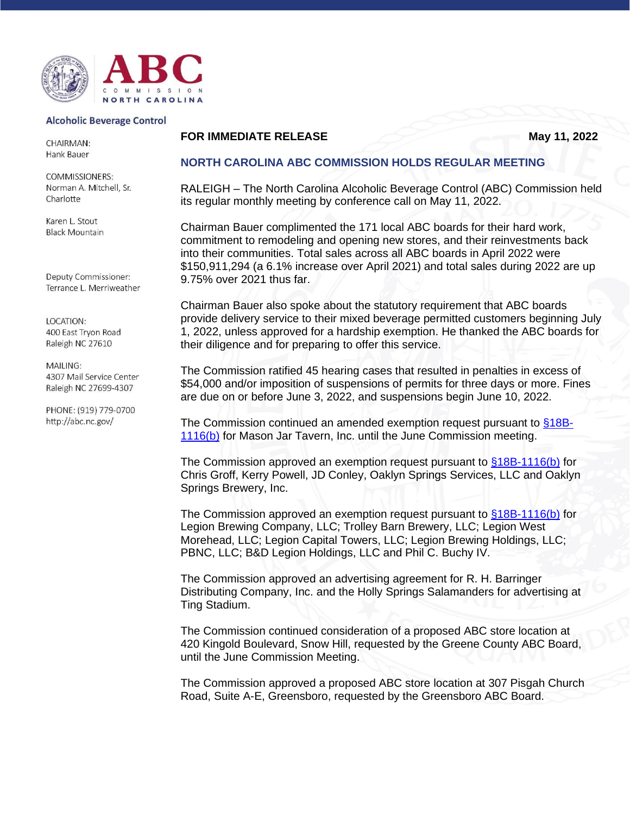

## **Alcoholic Beverage Control**

CHAIRMAN: Hank Bauer

**COMMISSIONERS:** Norman A. Mitchell, Sr. Charlotte

Karen L. Stout **Black Mountain** 

Deputy Commissioner: Terrance L. Merriweather

LOCATION: 400 East Tryon Road Raleigh NC 27610

**MAILING:** 4307 Mail Service Center Raleigh NC 27699-4307

PHONE: (919) 779-0700 http://abc.nc.gov/

## **FOR IMMEDIATE RELEASE May 11, 2022**

## **NORTH CAROLINA ABC COMMISSION HOLDS REGULAR MEETING**

RALEIGH – The North Carolina Alcoholic Beverage Control (ABC) Commission held its regular monthly meeting by conference call on May 11, 2022.

Chairman Bauer complimented the 171 local ABC boards for their hard work, commitment to remodeling and opening new stores, and their reinvestments back into their communities. Total sales across all ABC boards in April 2022 were \$150,911,294 (a 6.1% increase over April 2021) and total sales during 2022 are up 9.75% over 2021 thus far.

Chairman Bauer also spoke about the statutory requirement that ABC boards provide delivery service to their mixed beverage permitted customers beginning July 1, 2022, unless approved for a hardship exemption. He thanked the ABC boards for their diligence and for preparing to offer this service.

The Commission ratified 45 hearing cases that resulted in penalties in excess of \$54,000 and/or imposition of suspensions of permits for three days or more. Fines are due on or before June 3, 2022, and suspensions begin June 10, 2022.

The Commission continued an amended exemption request pursuant to [§18B-](https://www.ncleg.gov/EnactedLegislation/Statutes/PDF/BySection/Chapter_18B/GS_18B-1116.pdf)[1116\(b\)](https://www.ncleg.gov/EnactedLegislation/Statutes/PDF/BySection/Chapter_18B/GS_18B-1116.pdf) for Mason Jar Tavern, Inc. until the June Commission meeting.

The Commission approved an exemption request pursuant to  $\S18B-1116(b)$  for Chris Groff, Kerry Powell, JD Conley, Oaklyn Springs Services, LLC and Oaklyn Springs Brewery, Inc.

The Commission approved an exemption request pursuant to [§18B-1116\(b\)](https://www.ncleg.gov/EnactedLegislation/Statutes/PDF/BySection/Chapter_18B/GS_18B-1116.pdf) for Legion Brewing Company, LLC; Trolley Barn Brewery, LLC; Legion West Morehead, LLC; Legion Capital Towers, LLC; Legion Brewing Holdings, LLC; PBNC, LLC; B&D Legion Holdings, LLC and Phil C. Buchy IV.

The Commission approved an advertising agreement for R. H. Barringer Distributing Company, Inc. and the Holly Springs Salamanders for advertising at Ting Stadium.

The Commission continued consideration of a proposed ABC store location at 420 Kingold Boulevard, Snow Hill, requested by the Greene County ABC Board, until the June Commission Meeting.

The Commission approved a proposed ABC store location at 307 Pisgah Church Road, Suite A-E, Greensboro, requested by the Greensboro ABC Board.